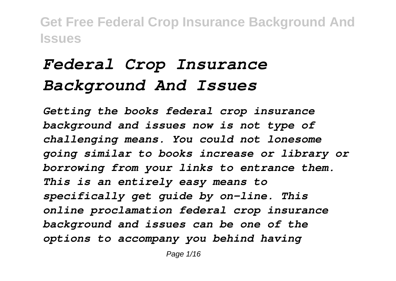# *Federal Crop Insurance Background And Issues*

*Getting the books federal crop insurance background and issues now is not type of challenging means. You could not lonesome going similar to books increase or library or borrowing from your links to entrance them. This is an entirely easy means to specifically get guide by on-line. This online proclamation federal crop insurance background and issues can be one of the options to accompany you behind having*

Page  $1/16$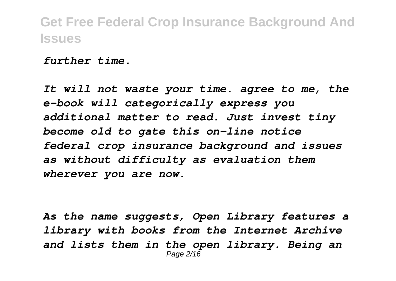*further time.*

*It will not waste your time. agree to me, the e-book will categorically express you additional matter to read. Just invest tiny become old to gate this on-line notice federal crop insurance background and issues as without difficulty as evaluation them wherever you are now.*

*As the name suggests, Open Library features a library with books from the Internet Archive and lists them in the open library. Being an* Page 2/16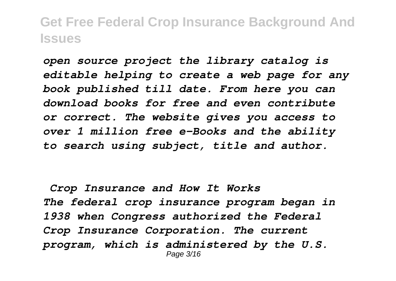*open source project the library catalog is editable helping to create a web page for any book published till date. From here you can download books for free and even contribute or correct. The website gives you access to over 1 million free e-Books and the ability to search using subject, title and author.*

*Crop Insurance and How It Works The federal crop insurance program began in 1938 when Congress authorized the Federal Crop Insurance Corporation. The current program, which is administered by the U.S.* Page 3/16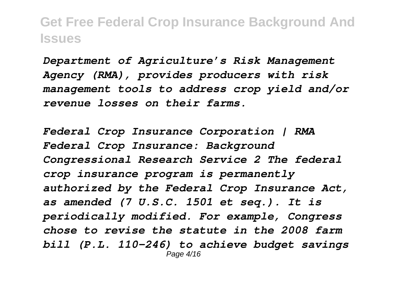*Department of Agriculture's Risk Management Agency (RMA), provides producers with risk management tools to address crop yield and/or revenue losses on their farms.*

*Federal Crop Insurance Corporation | RMA Federal Crop Insurance: Background Congressional Research Service 2 The federal crop insurance program is permanently authorized by the Federal Crop Insurance Act, as amended (7 U.S.C. 1501 et seq.). It is periodically modified. For example, Congress chose to revise the statute in the 2008 farm bill (P.L. 110-246) to achieve budget savings* Page 4/16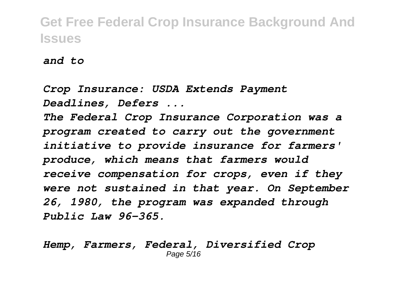*and to*

*Crop Insurance: USDA Extends Payment Deadlines, Defers ...*

*The Federal Crop Insurance Corporation was a program created to carry out the government initiative to provide insurance for farmers' produce, which means that farmers would receive compensation for crops, even if they were not sustained in that year. On September 26, 1980, the program was expanded through Public Law 96-365.*

*Hemp, Farmers, Federal, Diversified Crop* Page 5/16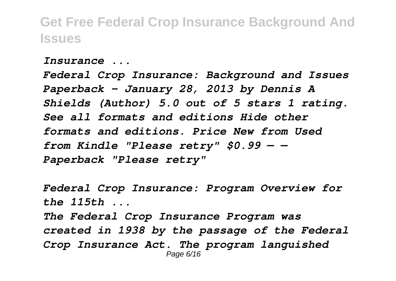*Insurance ...*

*Federal Crop Insurance: Background and Issues Paperback – January 28, 2013 by Dennis A Shields (Author) 5.0 out of 5 stars 1 rating. See all formats and editions Hide other formats and editions. Price New from Used from Kindle "Please retry" \$0.99 — — Paperback "Please retry"*

*Federal Crop Insurance: Program Overview for the 115th ... The Federal Crop Insurance Program was created in 1938 by the passage of the Federal Crop Insurance Act. The program languished* Page 6/16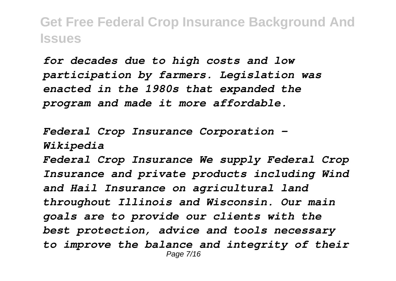*for decades due to high costs and low participation by farmers. Legislation was enacted in the 1980s that expanded the program and made it more affordable.*

*Federal Crop Insurance Corporation - Wikipedia*

*Federal Crop Insurance We supply Federal Crop Insurance and private products including Wind and Hail Insurance on agricultural land throughout Illinois and Wisconsin. Our main goals are to provide our clients with the best protection, advice and tools necessary to improve the balance and integrity of their* Page 7/16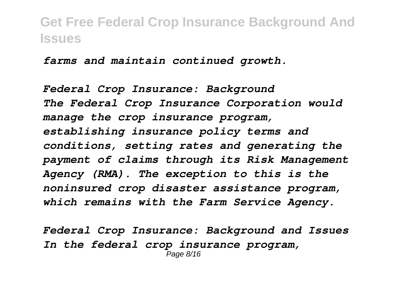*farms and maintain continued growth.*

*Federal Crop Insurance: Background The Federal Crop Insurance Corporation would manage the crop insurance program, establishing insurance policy terms and conditions, setting rates and generating the payment of claims through its Risk Management Agency (RMA). The exception to this is the noninsured crop disaster assistance program, which remains with the Farm Service Agency.*

*Federal Crop Insurance: Background and Issues In the federal crop insurance program,* Page 8/16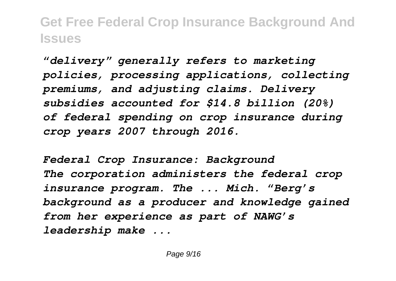*"delivery" generally refers to marketing policies, processing applications, collecting premiums, and adjusting claims. Delivery subsidies accounted for \$14.8 billion (20%) of federal spending on crop insurance during crop years 2007 through 2016.*

*Federal Crop Insurance: Background The corporation administers the federal crop insurance program. The ... Mich. "Berg's background as a producer and knowledge gained from her experience as part of NAWG's leadership make ...*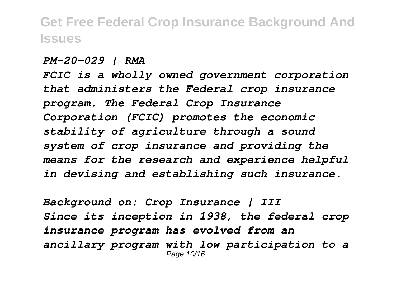*PM-20-029 | RMA*

*FCIC is a wholly owned government corporation that administers the Federal crop insurance program. The Federal Crop Insurance Corporation (FCIC) promotes the economic stability of agriculture through a sound system of crop insurance and providing the means for the research and experience helpful in devising and establishing such insurance.*

*Background on: Crop Insurance | III Since its inception in 1938, the federal crop insurance program has evolved from an ancillary program with low participation to a* Page 10/16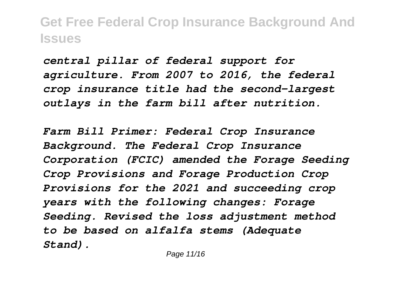*central pillar of federal support for agriculture. From 2007 to 2016, the federal crop insurance title had the second-largest outlays in the farm bill after nutrition.*

*Farm Bill Primer: Federal Crop Insurance Background. The Federal Crop Insurance Corporation (FCIC) amended the Forage Seeding Crop Provisions and Forage Production Crop Provisions for the 2021 and succeeding crop years with the following changes: Forage Seeding. Revised the loss adjustment method to be based on alfalfa stems (Adequate Stand).*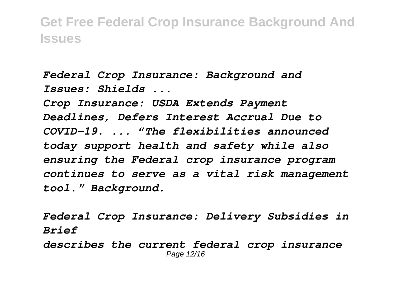*Federal Crop Insurance: Background and Issues: Shields ...*

*Crop Insurance: USDA Extends Payment Deadlines, Defers Interest Accrual Due to COVID-19. ... "The flexibilities announced today support health and safety while also ensuring the Federal crop insurance program continues to serve as a vital risk management tool." Background.*

*Federal Crop Insurance: Delivery Subsidies in Brief*

*describes the current federal crop insurance* Page 12/16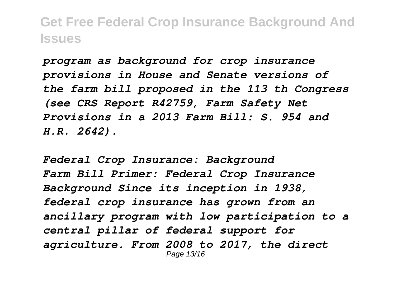*program as background for crop insurance provisions in House and Senate versions of the farm bill proposed in the 113 th Congress (see CRS Report R42759, Farm Safety Net Provisions in a 2013 Farm Bill: S. 954 and H.R. 2642).*

*Federal Crop Insurance: Background Farm Bill Primer: Federal Crop Insurance Background Since its inception in 1938, federal crop insurance has grown from an ancillary program with low participation to a central pillar of federal support for agriculture. From 2008 to 2017, the direct* Page 13/16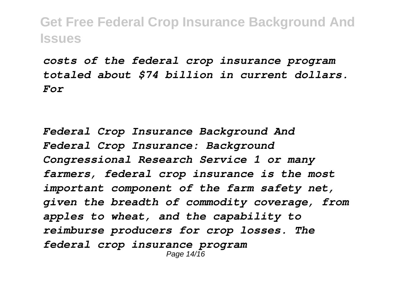*costs of the federal crop insurance program totaled about \$74 billion in current dollars. For*

*Federal Crop Insurance Background And Federal Crop Insurance: Background Congressional Research Service 1 or many farmers, federal crop insurance is the most important component of the farm safety net, given the breadth of commodity coverage, from apples to wheat, and the capability to reimburse producers for crop losses. The federal crop insurance program* Page 14/16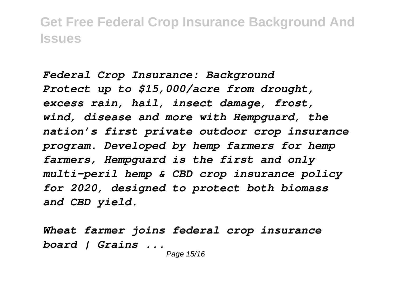*Federal Crop Insurance: Background Protect up to \$15,000/acre from drought, excess rain, hail, insect damage, frost, wind, disease and more with Hempguard, the nation's first private outdoor crop insurance program. Developed by hemp farmers for hemp farmers, Hempguard is the first and only multi-peril hemp & CBD crop insurance policy for 2020, designed to protect both biomass and CBD yield.*

*Wheat farmer joins federal crop insurance board | Grains ...*